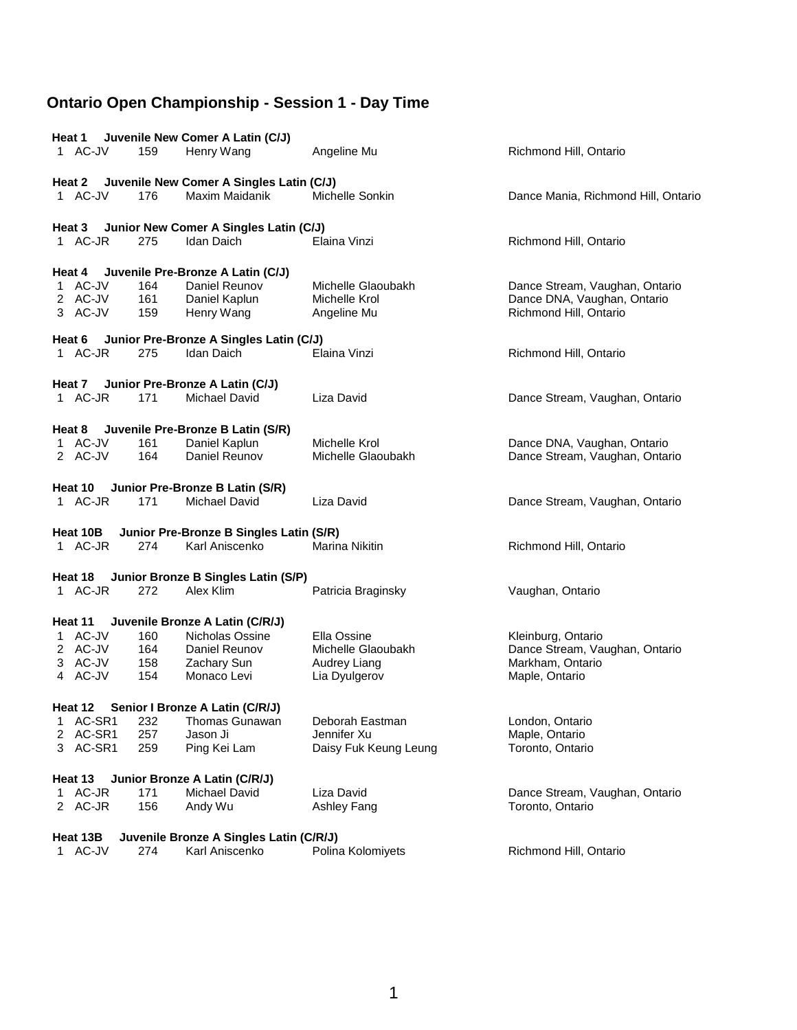| Heat 1                        |                   | Juvenile New Comer A Latin (C/J)                |                                                    |                                                                                         |
|-------------------------------|-------------------|-------------------------------------------------|----------------------------------------------------|-----------------------------------------------------------------------------------------|
| 1 AC-JV                       | 159               | Henry Wang                                      | Angeline Mu                                        | Richmond Hill, Ontario                                                                  |
|                               |                   | Heat 2 Juvenile New Comer A Singles Latin (C/J) |                                                    |                                                                                         |
| 1 AC-JV                       | 176               | Maxim Maidanik                                  | Michelle Sonkin                                    | Dance Mania, Richmond Hill, Ontario                                                     |
| Heat 3                        |                   | Junior New Comer A Singles Latin (C/J)          |                                                    |                                                                                         |
| 1 AC-JR                       | 275               | Idan Daich                                      | Elaina Vinzi                                       | Richmond Hill, Ontario                                                                  |
| Heat 4                        |                   | Juvenile Pre-Bronze A Latin (C/J)               |                                                    |                                                                                         |
| 1 AC-JV<br>2 AC-JV<br>3 AC-JV | 164<br>161<br>159 | Daniel Reunov<br>Daniel Kaplun<br>Henry Wang    | Michelle Glaoubakh<br>Michelle Krol<br>Angeline Mu | Dance Stream, Vaughan, Ontario<br>Dance DNA, Vaughan, Ontario<br>Richmond Hill, Ontario |
| Heat 6                        |                   | Junior Pre-Bronze A Singles Latin (C/J)         |                                                    |                                                                                         |
| 1 AC-JR                       | 275               | Idan Daich                                      | Elaina Vinzi                                       | Richmond Hill, Ontario                                                                  |
|                               |                   | Heat 7 Junior Pre-Bronze A Latin (C/J)          |                                                    |                                                                                         |
| 1 AC-JR                       | 171               | <b>Michael David</b>                            | Liza David                                         | Dance Stream, Vaughan, Ontario                                                          |
| Heat 8                        |                   | Juvenile Pre-Bronze B Latin (S/R)               |                                                    |                                                                                         |
| 1 AC-JV<br>2 AC-JV            | 161<br>164        | Daniel Kaplun<br>Daniel Reunov                  | Michelle Krol<br>Michelle Glaoubakh                | Dance DNA, Vaughan, Ontario                                                             |
|                               |                   |                                                 |                                                    | Dance Stream, Vaughan, Ontario                                                          |
| Heat 10                       |                   | Junior Pre-Bronze B Latin (S/R)                 |                                                    |                                                                                         |
| 1 AC-JR                       | 171               | <b>Michael David</b>                            | Liza David                                         | Dance Stream, Vaughan, Ontario                                                          |
| Heat 10B                      |                   | Junior Pre-Bronze B Singles Latin (S/R)         |                                                    |                                                                                         |
| 1 AC-JR                       | 274               | Karl Aniscenko                                  | <b>Marina Nikitin</b>                              | Richmond Hill, Ontario                                                                  |
| Heat 18                       |                   | Junior Bronze B Singles Latin (S/P)             |                                                    |                                                                                         |
| 1 AC-JR                       | 272               | Alex Klim                                       | Patricia Braginsky                                 | Vaughan, Ontario                                                                        |
| Heat 11                       |                   | Juvenile Bronze A Latin (C/R/J)                 |                                                    |                                                                                         |
| 1 AC-JV                       | 160               | Nicholas Ossine                                 | Ella Ossine                                        | Kleinburg, Ontario                                                                      |
| 2 AC-JV                       | 164               | Daniel Reunov                                   | Michelle Glaoubakh                                 | Dance Stream, Vaughan, Ontario                                                          |
| 3 AC-JV                       | 158               | Zachary Sun                                     | Audrey Liang                                       | Markham, Ontario                                                                        |
| 4 AC-JV                       | 154               | Monaco Levi                                     | Lia Dyulgerov                                      | Maple, Ontario                                                                          |
| Heat 12                       |                   | Senior I Bronze A Latin (C/R/J)                 |                                                    |                                                                                         |
| AC-SR1<br>1                   | 232               | Thomas Gunawan                                  | Deborah Eastman                                    | London, Ontario                                                                         |
| 2 AC-SR1                      | 257               | Jason Ji                                        | Jennifer Xu                                        | Maple, Ontario                                                                          |
| 3 AC-SR1                      | 259               | Ping Kei Lam                                    | Daisy Fuk Keung Leung                              | Toronto, Ontario                                                                        |
| Heat 13                       |                   | Junior Bronze A Latin (C/R/J)                   |                                                    |                                                                                         |
| 1 AC-JR                       | 171               | <b>Michael David</b>                            | Liza David                                         | Dance Stream, Vaughan, Ontario                                                          |
| 2 AC-JR                       | 156               | Andy Wu                                         | <b>Ashley Fang</b>                                 | Toronto, Ontario                                                                        |
| Heat 13B                      |                   | Juvenile Bronze A Singles Latin (C/R/J)         |                                                    |                                                                                         |
| 1 AC-JV                       | 274               | Karl Aniscenko                                  | Polina Kolomiyets                                  | Richmond Hill, Ontario                                                                  |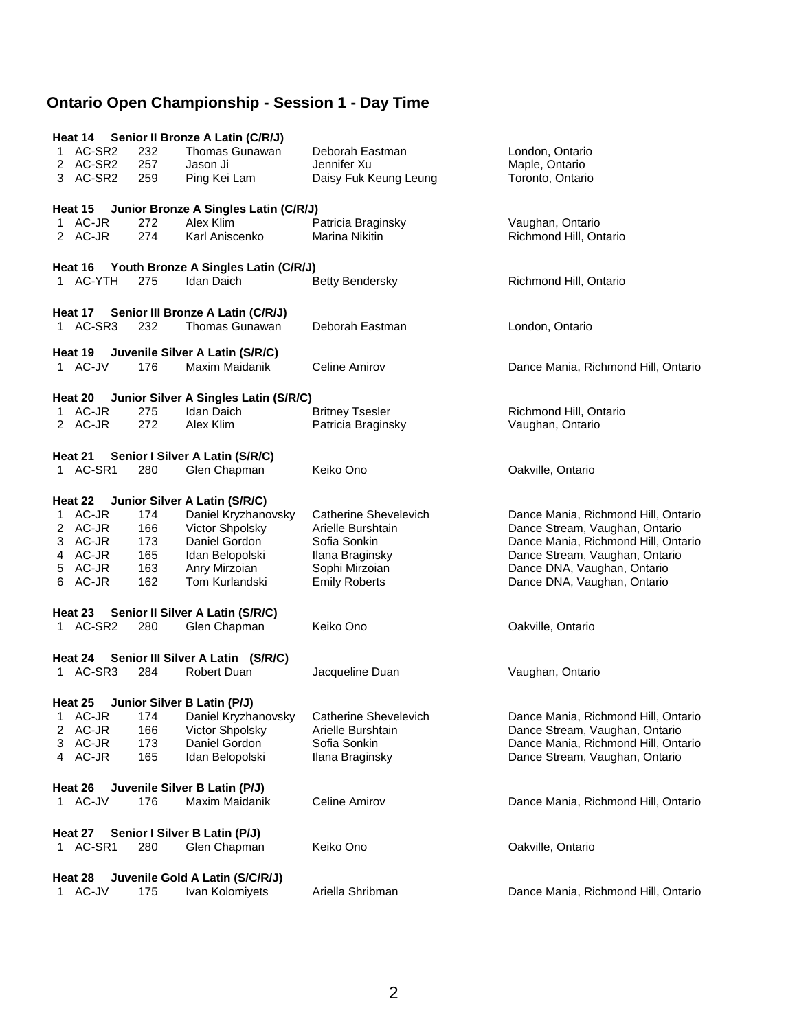|   |                     |            | Heat 14 Senior II Bronze A Latin (C/R/J)             |                                   |                                                                       |
|---|---------------------|------------|------------------------------------------------------|-----------------------------------|-----------------------------------------------------------------------|
|   | 1 AC-SR2            | 232        | Thomas Gunawan                                       | Deborah Eastman                   | London, Ontario                                                       |
|   | 2 AC-SR2            | 257        | Jason Ji                                             | Jennifer Xu                       | Maple, Ontario                                                        |
|   | 3 AC-SR2            | 259        | Ping Kei Lam                                         | Daisy Fuk Keung Leung             | Toronto, Ontario                                                      |
|   |                     |            |                                                      |                                   |                                                                       |
|   | Heat 15             |            | Junior Bronze A Singles Latin (C/R/J)                |                                   |                                                                       |
|   | 1 AC-JR             | 272        | Alex Klim                                            | Patricia Braginsky                | Vaughan, Ontario                                                      |
|   | 2 AC-JR             | 274        | Karl Aniscenko                                       | Marina Nikitin                    | Richmond Hill, Ontario                                                |
|   |                     |            |                                                      |                                   |                                                                       |
|   | Heat 16             |            | Youth Bronze A Singles Latin (C/R/J)                 |                                   |                                                                       |
|   | 1 AC-YTH            | 275        | Idan Daich                                           | <b>Betty Bendersky</b>            | Richmond Hill, Ontario                                                |
|   |                     |            |                                                      |                                   |                                                                       |
|   | Heat 17             |            | Senior III Bronze A Latin (C/R/J)                    |                                   |                                                                       |
|   | 1 AC-SR3            | 232        | <b>Thomas Gunawan</b>                                | Deborah Eastman                   | London, Ontario                                                       |
|   |                     |            |                                                      |                                   |                                                                       |
|   | Heat 19             |            | Juvenile Silver A Latin (S/R/C)                      |                                   |                                                                       |
|   | 1 AC-JV             | 176        | Maxim Maidanik                                       | Celine Amirov                     | Dance Mania, Richmond Hill, Ontario                                   |
|   |                     |            |                                                      |                                   |                                                                       |
|   | Heat 20             |            | Junior Silver A Singles Latin (S/R/C)                |                                   |                                                                       |
|   | 1 AC-JR             | 275        | <b>Idan Daich</b>                                    | <b>Britney Tsesler</b>            | Richmond Hill, Ontario                                                |
|   | 2 AC-JR             | 272        | Alex Klim                                            | Patricia Braginsky                | Vaughan, Ontario                                                      |
|   |                     |            |                                                      |                                   |                                                                       |
|   |                     |            | Heat 21 Senior I Silver A Latin (S/R/C)              |                                   |                                                                       |
|   | 1 AC-SR1            | 280        | Glen Chapman                                         | Keiko Ono                         | Oakville, Ontario                                                     |
|   |                     |            |                                                      |                                   |                                                                       |
|   |                     |            |                                                      |                                   |                                                                       |
|   | Heat 22<br>1 AC-JR  | 174        | Junior Silver A Latin (S/R/C)<br>Daniel Kryzhanovsky | Catherine Shevelevich             |                                                                       |
|   |                     |            |                                                      |                                   | Dance Mania, Richmond Hill, Ontario                                   |
|   | 2 AC-JR<br>3 AC-JR  | 166<br>173 | Victor Shpolsky<br>Daniel Gordon                     | Arielle Burshtain<br>Sofia Sonkin | Dance Stream, Vaughan, Ontario                                        |
|   | 4 AC-JR             | 165        |                                                      |                                   | Dance Mania, Richmond Hill, Ontario<br>Dance Stream, Vaughan, Ontario |
| 5 | AC-JR               | 163        | Idan Belopolski<br>Anry Mirzoian                     | Ilana Braginsky<br>Sophi Mirzoian | Dance DNA, Vaughan, Ontario                                           |
|   | 6 AC-JR             | 162        | Tom Kurlandski                                       | <b>Emily Roberts</b>              | Dance DNA, Vaughan, Ontario                                           |
|   |                     |            |                                                      |                                   |                                                                       |
|   |                     |            |                                                      |                                   |                                                                       |
|   | Heat 23<br>1 AC-SR2 | 280        | Senior II Silver A Latin (S/R/C)                     | Keiko Ono                         |                                                                       |
|   |                     |            | Glen Chapman                                         |                                   | Oakville, Ontario                                                     |
|   |                     |            |                                                      |                                   |                                                                       |
|   | Heat 24             |            | Senior III Silver A Latin (S/R/C)<br>Robert Duan     |                                   |                                                                       |
|   | 1 AC-SR3            | 284        |                                                      | Jacqueline Duan                   | Vaughan, Ontario                                                      |
|   |                     |            |                                                      |                                   |                                                                       |
|   | Heat 25             |            | Junior Silver B Latin (P/J)                          |                                   |                                                                       |
| 1 | AC-JR               | 174        | Daniel Kryzhanovsky                                  | <b>Catherine Shevelevich</b>      | Dance Mania, Richmond Hill, Ontario                                   |
| 2 | AC-JR               | 166        | Victor Shpolsky                                      | Arielle Burshtain                 | Dance Stream, Vaughan, Ontario                                        |
|   | 3 AC-JR             | 173        | Daniel Gordon                                        | Sofia Sonkin                      | Dance Mania, Richmond Hill, Ontario                                   |
|   | 4 AC-JR             | 165        | Idan Belopolski                                      | Ilana Braginsky                   | Dance Stream, Vaughan, Ontario                                        |
|   |                     |            |                                                      |                                   |                                                                       |
|   | Heat 26             |            | Juvenile Silver B Latin (P/J)                        |                                   |                                                                       |
|   | 1 AC-JV             | 176        | Maxim Maidanik                                       | Celine Amirov                     | Dance Mania, Richmond Hill, Ontario                                   |
|   |                     |            |                                                      |                                   |                                                                       |
|   | Heat 27             |            | Senior I Silver B Latin (P/J)                        |                                   |                                                                       |
|   | 1 AC-SR1            | 280        | Glen Chapman                                         | Keiko Ono                         | Oakville, Ontario                                                     |
|   |                     |            |                                                      |                                   |                                                                       |
|   | Heat 28             |            | Juvenile Gold A Latin (S/C/R/J)                      |                                   |                                                                       |
|   | 1 AC-JV             | 175        | Ivan Kolomiyets                                      | Ariella Shribman                  | Dance Mania, Richmond Hill, Ontario                                   |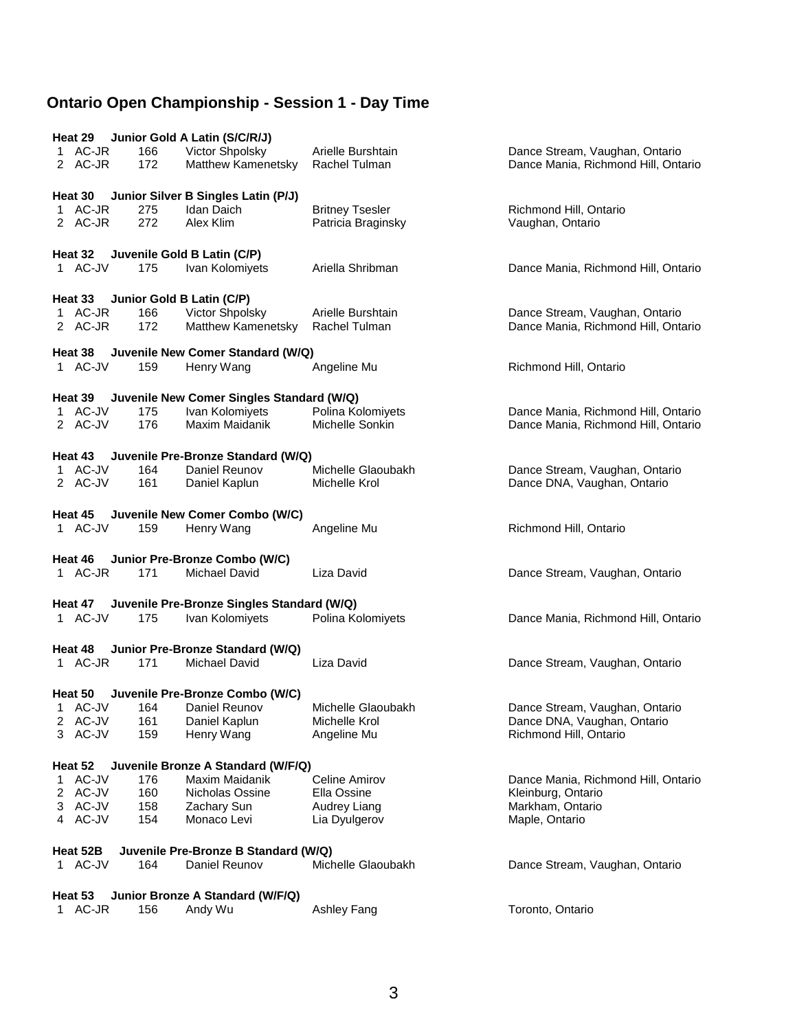| Heat 29                                       |            | Junior Gold A Latin (S/C/R/J)                     |                                              |                                                                       |  |  |
|-----------------------------------------------|------------|---------------------------------------------------|----------------------------------------------|-----------------------------------------------------------------------|--|--|
| 1 AC-JR<br>2 AC-JR                            | 166<br>172 | Victor Shpolsky<br>Matthew Kamenetsky             | Arielle Burshtain<br>Rachel Tulman           | Dance Stream, Vaughan, Ontario<br>Dance Mania, Richmond Hill, Ontario |  |  |
| Heat 30                                       |            | Junior Silver B Singles Latin (P/J)               |                                              |                                                                       |  |  |
| 1 AC-JR<br>2 AC-JR                            | 275<br>272 | Idan Daich<br>Alex Klim                           | <b>Britney Tsesler</b><br>Patricia Braginsky | Richmond Hill, Ontario<br>Vaughan, Ontario                            |  |  |
| Heat 32                                       |            | Juvenile Gold B Latin (C/P)                       |                                              |                                                                       |  |  |
| 1 AC-JV                                       | 175        | Ivan Kolomiyets                                   | Ariella Shribman                             | Dance Mania, Richmond Hill, Ontario                                   |  |  |
| Heat 33                                       |            | Junior Gold B Latin (C/P)                         |                                              |                                                                       |  |  |
| 1 AC-JR<br>2 AC-JR                            | 166<br>172 | Victor Shpolsky<br>Matthew Kamenetsky             | Arielle Burshtain<br>Rachel Tulman           | Dance Stream, Vaughan, Ontario<br>Dance Mania, Richmond Hill, Ontario |  |  |
| Heat 38                                       |            | Juvenile New Comer Standard (W/Q)                 |                                              |                                                                       |  |  |
| 1 AC-JV                                       | 159        | Henry Wang                                        | Angeline Mu                                  | Richmond Hill, Ontario                                                |  |  |
|                                               |            | Heat 39 Juvenile New Comer Singles Standard (W/Q) |                                              |                                                                       |  |  |
| 1 AC-JV                                       | 175        | Ivan Kolomiyets                                   | Polina Kolomiyets                            | Dance Mania, Richmond Hill, Ontario                                   |  |  |
| 2 AC-JV                                       | 176        | Maxim Maidanik                                    | Michelle Sonkin                              | Dance Mania, Richmond Hill, Ontario                                   |  |  |
| Heat 43                                       |            | Juvenile Pre-Bronze Standard (W/Q)                |                                              |                                                                       |  |  |
| 1 AC-JV                                       | 164        | Daniel Reunov                                     | Michelle Glaoubakh                           | Dance Stream, Vaughan, Ontario                                        |  |  |
| 2 AC-JV                                       | 161        | Daniel Kaplun                                     | Michelle Krol                                | Dance DNA, Vaughan, Ontario                                           |  |  |
| Heat 45                                       |            | Juvenile New Comer Combo (W/C)                    |                                              |                                                                       |  |  |
| 1 AC-JV                                       | 159        | Henry Wang                                        | Angeline Mu                                  | Richmond Hill, Ontario                                                |  |  |
| Heat 46                                       |            | Junior Pre-Bronze Combo (W/C)                     |                                              |                                                                       |  |  |
| 1 AC-JR                                       | 171        | Michael David                                     | Liza David                                   | Dance Stream, Vaughan, Ontario                                        |  |  |
| Heat 47                                       |            | Juvenile Pre-Bronze Singles Standard (W/Q)        |                                              |                                                                       |  |  |
| 1 AC-JV                                       | 175        | Ivan Kolomiyets                                   | Polina Kolomiyets                            | Dance Mania, Richmond Hill, Ontario                                   |  |  |
| Heat 48                                       |            | Junior Pre-Bronze Standard (W/Q)                  |                                              |                                                                       |  |  |
| 1 AC-JR                                       | 171        | Michael David                                     | Liza David                                   | Dance Stream, Vaughan, Ontario                                        |  |  |
| Heat 50                                       |            | Juvenile Pre-Bronze Combo (W/C)                   |                                              |                                                                       |  |  |
| 1 AC-JV                                       | 164        | Daniel Reunov                                     | Michelle Glaoubakh                           | Dance Stream, Vaughan, Ontario                                        |  |  |
| 2 AC-JV<br>3 AC-JV                            | 161<br>159 | Daniel Kaplun<br>Henry Wang                       | Michelle Krol<br>Angeline Mu                 | Dance DNA, Vaughan, Ontario<br>Richmond Hill, Ontario                 |  |  |
| Juvenile Bronze A Standard (W/F/Q)<br>Heat 52 |            |                                                   |                                              |                                                                       |  |  |
| 1 AC-JV                                       | 176        | Maxim Maidanik                                    | Celine Amirov                                | Dance Mania, Richmond Hill, Ontario                                   |  |  |
| 2 AC-JV                                       | 160        | Nicholas Ossine                                   | Ella Ossine                                  | Kleinburg, Ontario                                                    |  |  |
| 3 AC-JV<br>4 AC-JV                            | 158<br>154 | Zachary Sun<br>Monaco Levi                        | Audrey Liang<br>Lia Dyulgerov                | Markham, Ontario<br>Maple, Ontario                                    |  |  |
| Heat 52B                                      |            | Juvenile Pre-Bronze B Standard (W/Q)              |                                              |                                                                       |  |  |
| 1 AC-JV                                       | 164        | Daniel Reunov                                     | Michelle Glaoubakh                           | Dance Stream, Vaughan, Ontario                                        |  |  |
| Heat 53                                       |            | Junior Bronze A Standard (W/F/Q)                  |                                              |                                                                       |  |  |
| 1 AC-JR                                       | 156        | Andy Wu                                           | Ashley Fang                                  | Toronto, Ontario                                                      |  |  |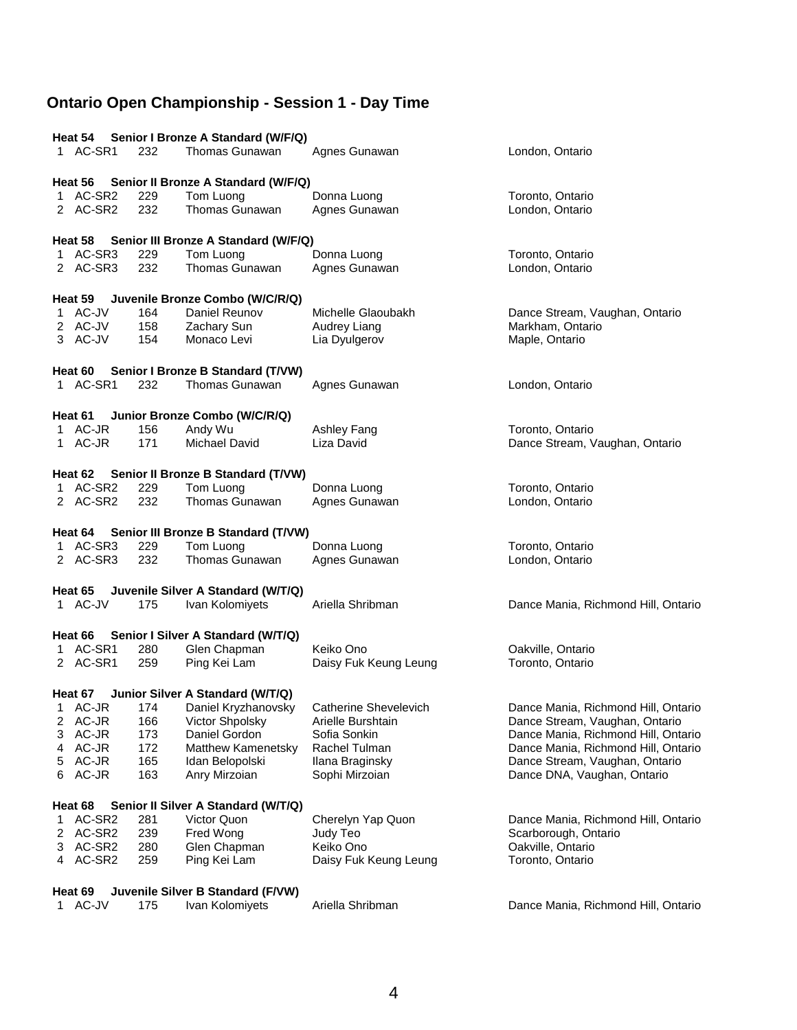|        |                |            | Heat 54 Senior I Bronze A Standard (W/F/Q)   |                                  |                                                                       |
|--------|----------------|------------|----------------------------------------------|----------------------------------|-----------------------------------------------------------------------|
|        | 1 AC-SR1       | 232        | Thomas Gunawan                               | Agnes Gunawan                    | London, Ontario                                                       |
|        | Heat 56        |            | Senior II Bronze A Standard (W/F/Q)          |                                  |                                                                       |
|        | 1 AC-SR2       | 229        | Tom Luong                                    | Donna Luong                      | Toronto, Ontario                                                      |
|        | 2 AC-SR2       | 232        | Thomas Gunawan                               | Agnes Gunawan                    | London, Ontario                                                       |
|        | Heat 58        |            | Senior III Bronze A Standard (W/F/Q)         |                                  |                                                                       |
|        | 1 AC-SR3       | 229        | Tom Luong                                    | Donna Luong                      | Toronto, Ontario                                                      |
|        | 2 AC-SR3       | 232        | Thomas Gunawan                               | Agnes Gunawan                    | London, Ontario                                                       |
|        | Heat 59        |            | Juvenile Bronze Combo (W/C/R/Q)              |                                  |                                                                       |
|        | 1 AC-JV        | 164        | Daniel Reunov                                | Michelle Glaoubakh               | Dance Stream, Vaughan, Ontario                                        |
|        | 2 AC-JV        | 158        | Zachary Sun                                  | Audrey Liang                     | Markham, Ontario                                                      |
|        | 3 AC-JV        | 154        | Monaco Levi                                  | Lia Dyulgerov                    | Maple, Ontario                                                        |
|        | Heat 60        |            | Senior I Bronze B Standard (T/VW)            |                                  |                                                                       |
|        | 1 AC-SR1       | 232        | Thomas Gunawan                               | Agnes Gunawan                    | London, Ontario                                                       |
|        | Heat 61        |            | Junior Bronze Combo (W/C/R/Q)                |                                  |                                                                       |
|        | 1 AC-JR        | 156        | Andy Wu                                      | Ashley Fang                      | Toronto, Ontario                                                      |
|        | 1 AC-JR        | 171        | Michael David                                | Liza David                       | Dance Stream, Vaughan, Ontario                                        |
|        |                |            | Heat 62 Senior II Bronze B Standard (T/VW)   |                                  |                                                                       |
|        | 1 AC-SR2       | 229        | Tom Luong                                    | Donna Luong                      | Toronto, Ontario                                                      |
|        | 2 AC-SR2       | 232        | Thomas Gunawan                               | Agnes Gunawan                    | London, Ontario                                                       |
|        | Heat 64        |            | Senior III Bronze B Standard (T/VW)          |                                  |                                                                       |
|        | 1 AC-SR3       | 229        | Tom Luong                                    | Donna Luong                      | Toronto, Ontario                                                      |
|        | 2 AC-SR3       | 232        | <b>Thomas Gunawan</b>                        | Agnes Gunawan                    | London, Ontario                                                       |
|        | Heat 65        |            | Juvenile Silver A Standard (W/T/Q)           |                                  |                                                                       |
|        | 1 AC-JV        | 175        | Ivan Kolomiyets                              | Ariella Shribman                 | Dance Mania, Richmond Hill, Ontario                                   |
|        | Heat 66        |            | Senior I Silver A Standard (W/T/Q)           |                                  |                                                                       |
|        | 1 AC-SR1       | 280        | Glen Chapman                                 | Keiko Ono                        | Oakville, Ontario                                                     |
|        | 2 AC-SR1       | 259        | Ping Kei Lam                                 | Daisy Fuk Keung Leung            | Toronto, Ontario                                                      |
|        | Heat 67        |            | Junior Silver A Standard (W/T/Q)             |                                  |                                                                       |
|        | 1 AC-JR        | 174        | Daniel Kryzhanovsky                          | Catherine Shevelevich            | Dance Mania, Richmond Hill, Ontario                                   |
| 2      | AC-JR          | 166        | Victor Shpolsky                              | Arielle Burshtain                | Dance Stream, Vaughan, Ontario                                        |
| 3      | AC-JR<br>AC-JR | 173        | Daniel Gordon                                | Sofia Sonkin                     | Dance Mania, Richmond Hill, Ontario                                   |
| 4<br>5 | AC-JR          | 172<br>165 | <b>Matthew Kamenetsky</b><br>Idan Belopolski | Rachel Tulman<br>Ilana Braginsky | Dance Mania, Richmond Hill, Ontario<br>Dance Stream, Vaughan, Ontario |
| 6      | AC-JR          | 163        | Anry Mirzoian                                | Sophi Mirzoian                   | Dance DNA, Vaughan, Ontario                                           |
|        | Heat 68        |            | Senior II Silver A Standard (W/T/Q)          |                                  |                                                                       |
| 1      | AC-SR2         | 281        | Victor Quon                                  | Cherelyn Yap Quon                | Dance Mania, Richmond Hill, Ontario                                   |
| 2      | AC-SR2         | 239        | Fred Wong                                    | Judy Teo                         | Scarborough, Ontario                                                  |
| 3      | AC-SR2         | 280        | Glen Chapman                                 | Keiko Ono                        | Oakville, Ontario                                                     |
|        | 4 AC-SR2       | 259        | Ping Kei Lam                                 | Daisy Fuk Keung Leung            | Toronto, Ontario                                                      |
|        | Heat 69        |            | Juvenile Silver B Standard (F/VW)            |                                  |                                                                       |
|        | 1 AC-JV        | 175        | Ivan Kolomiyets                              | Ariella Shribman                 | Dance Mania, Richmond Hill, Ontario                                   |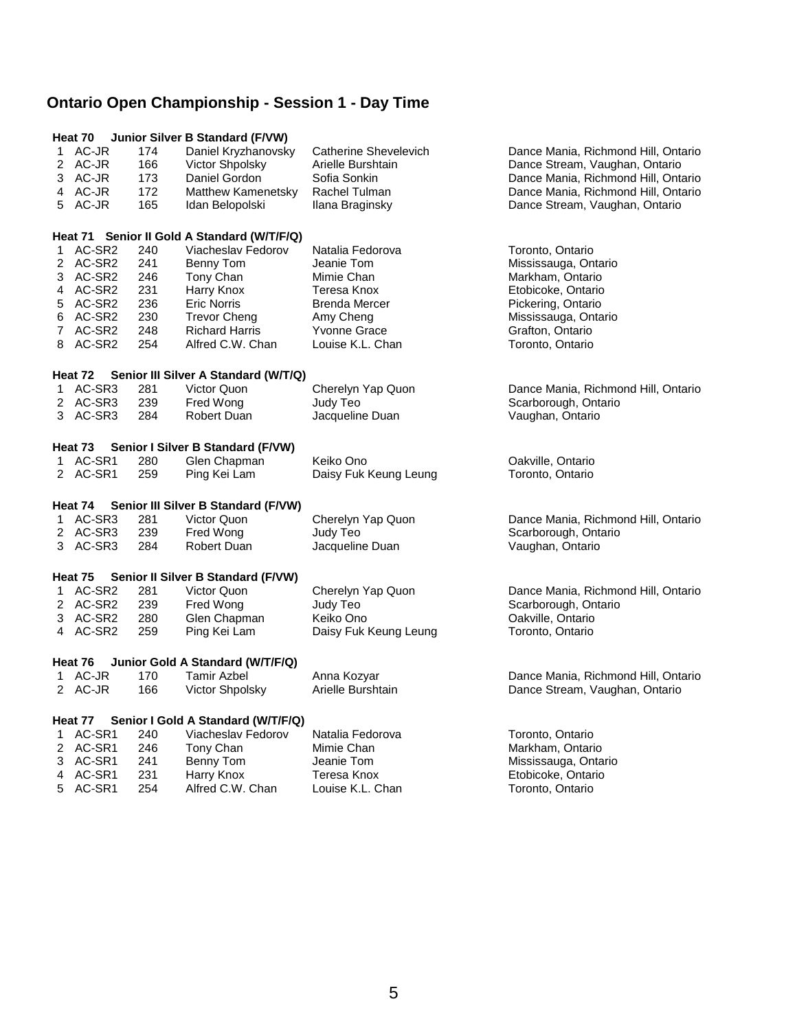|    |          |     | Heat 70 Junior Silver B Standard (F/VW)     |                              |                                     |
|----|----------|-----|---------------------------------------------|------------------------------|-------------------------------------|
|    | 1 AC-JR  | 174 | Daniel Kryzhanovsky                         | <b>Catherine Shevelevich</b> | Dance Mania, Richmond Hill, Ontario |
|    | 2 AC-JR  | 166 | Victor Shpolsky                             | Arielle Burshtain            | Dance Stream, Vaughan, Ontario      |
|    | 3 AC-JR  | 173 | Daniel Gordon                               | Sofia Sonkin                 | Dance Mania, Richmond Hill, Ontario |
|    | 4 AC-JR  | 172 | Matthew Kamenetsky                          | Rachel Tulman                | Dance Mania, Richmond Hill, Ontario |
|    | 5 AC-JR  | 165 | Idan Belopolski                             | Ilana Braginsky              | Dance Stream, Vaughan, Ontario      |
|    |          |     | Heat 71 Senior II Gold A Standard (W/T/F/Q) |                              |                                     |
|    | 1 AC-SR2 | 240 | Viacheslav Fedorov                          | Natalia Fedorova             | Toronto, Ontario                    |
|    | 2 AC-SR2 | 241 | Benny Tom                                   | Jeanie Tom                   | Mississauga, Ontario                |
|    | 3 AC-SR2 | 246 | Tony Chan                                   | Mimie Chan                   | Markham, Ontario                    |
|    | 4 AC-SR2 | 231 | Harry Knox                                  | Teresa Knox                  | Etobicoke, Ontario                  |
|    | 5 AC-SR2 | 236 | <b>Eric Norris</b>                          | <b>Brenda Mercer</b>         | Pickering, Ontario                  |
| 6  | AC-SR2   | 230 | <b>Trevor Cheng</b>                         | Amy Cheng                    | Mississauga, Ontario                |
|    | 7 AC-SR2 | 248 | <b>Richard Harris</b>                       | <b>Yvonne Grace</b>          | Grafton, Ontario                    |
|    | 8 AC-SR2 | 254 | Alfred C.W. Chan                            | Louise K.L. Chan             | Toronto, Ontario                    |
|    | Heat 72  |     | Senior III Silver A Standard (W/T/Q)        |                              |                                     |
|    | 1 AC-SR3 | 281 | Victor Quon                                 | Cherelyn Yap Quon            | Dance Mania, Richmond Hill, Ontario |
|    | 2 AC-SR3 | 239 | Fred Wong                                   | Judy Teo                     | Scarborough, Ontario                |
|    | 3 AC-SR3 | 284 | Robert Duan                                 | Jacqueline Duan              | Vaughan, Ontario                    |
|    |          |     |                                             |                              |                                     |
|    | Heat 73  |     | Senior I Silver B Standard (F/VW)           |                              |                                     |
|    | 1 AC-SR1 | 280 | Glen Chapman                                | Keiko Ono                    | Oakville, Ontario                   |
|    | 2 AC-SR1 | 259 | Ping Kei Lam                                | Daisy Fuk Keung Leung        | Toronto, Ontario                    |
|    | Heat 74  |     | Senior III Silver B Standard (F/VW)         |                              |                                     |
| 1. | AC-SR3   | 281 | Victor Quon                                 | Cherelyn Yap Quon            | Dance Mania, Richmond Hill, Ontario |
|    | 2 AC-SR3 | 239 | Fred Wong                                   | Judy Teo                     | Scarborough, Ontario                |
|    | 3 AC-SR3 | 284 | Robert Duan                                 | Jacqueline Duan              | Vaughan, Ontario                    |
|    |          |     |                                             |                              |                                     |
|    | Heat 75  |     | Senior II Silver B Standard (F/VW)          |                              |                                     |
| 1  | AC-SR2   | 281 | Victor Quon                                 | Cherelyn Yap Quon            | Dance Mania, Richmond Hill, Ontario |
|    | 2 AC-SR2 | 239 | Fred Wong                                   | Judy Teo                     | Scarborough, Ontario                |
|    | 3 AC-SR2 | 280 | Glen Chapman                                | Keiko Ono                    | Oakville, Ontario                   |
|    | 4 AC-SR2 | 259 | Ping Kei Lam                                | Daisy Fuk Keung Leung        | Toronto, Ontario                    |
|    | Heat 76  |     | Junior Gold A Standard (W/T/F/Q)            |                              |                                     |
|    | 1 AC-JR  | 170 | <b>Tamir Azbel</b>                          | Anna Kozyar                  | Dance Mania, Richmond Hill, Ontario |
|    | 2 AC-JR  | 166 | Victor Shpolsky                             | Arielle Burshtain            | Dance Stream, Vaughan, Ontario      |
|    | Heat 77  |     | Senior I Gold A Standard (W/T/F/Q)          |                              |                                     |
|    | 1 AC-SR1 | 240 | Viacheslav Fedorov                          | Natalia Fedorova             | Toronto, Ontario                    |
|    | 2 AC-SR1 | 246 | Tony Chan                                   | Mimie Chan                   | Markham, Ontario                    |
|    | 3 AC-SR1 | 241 | Benny Tom                                   | Jeanie Tom                   | Mississauga, Ontario                |
|    | 4 AC-SR1 | 231 | Harry Knox                                  | Teresa Knox                  | Etobicoke, Ontario                  |
|    | 5 AC-SR1 | 254 | Alfred C.W. Chan                            | Louise K.L. Chan             | Toronto, Ontario                    |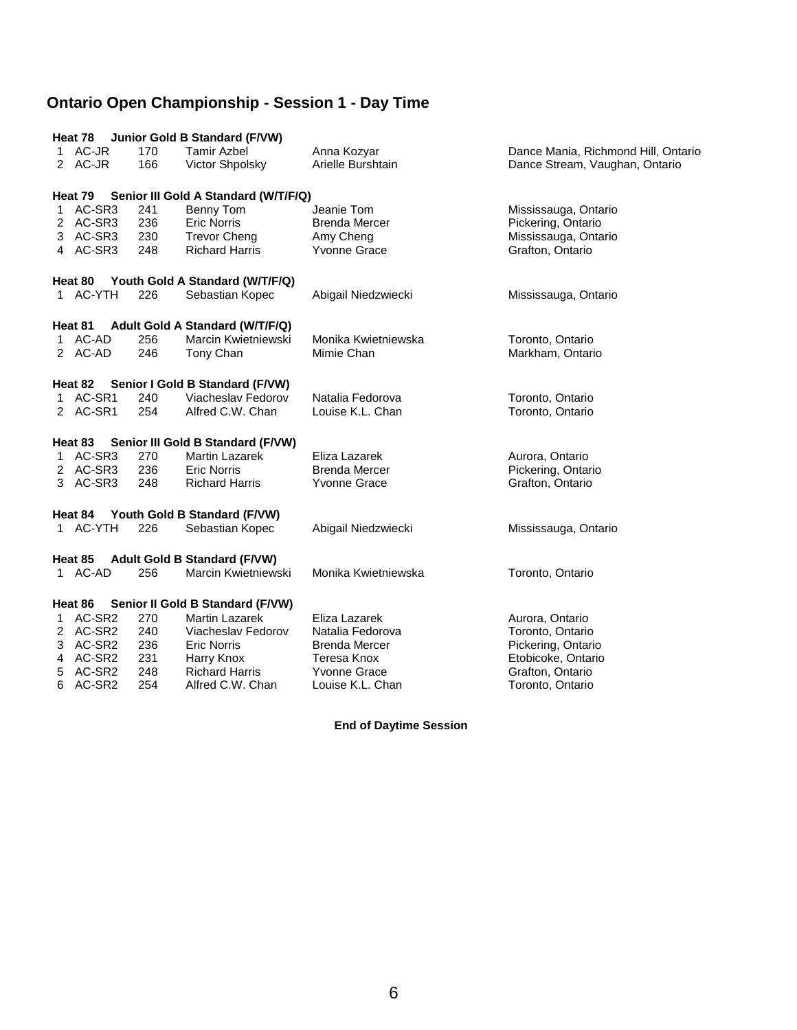|    | Heat 78            |            | Junior Gold B Standard (F/VW)                |                                  |                                                                       |
|----|--------------------|------------|----------------------------------------------|----------------------------------|-----------------------------------------------------------------------|
|    | 1 AC-JR<br>2 AC-JR | 170<br>166 | <b>Tamir Azbel</b><br><b>Victor Shpolsky</b> | Anna Kozyar<br>Arielle Burshtain | Dance Mania, Richmond Hill, Ontario<br>Dance Stream, Vaughan, Ontario |
|    | Heat 79            |            | Senior III Gold A Standard (W/T/F/Q)         |                                  |                                                                       |
|    | 1 AC-SR3           | 241        | Benny Tom                                    | Jeanie Tom                       | Mississauga, Ontario                                                  |
|    | 2 AC-SR3           | 236        | <b>Eric Norris</b>                           | <b>Brenda Mercer</b>             | Pickering, Ontario                                                    |
|    | 3 AC-SR3           | 230        | <b>Trevor Cheng</b>                          | Amy Cheng                        | Mississauga, Ontario                                                  |
|    | 4 AC-SR3           | 248        | <b>Richard Harris</b>                        | Yvonne Grace                     | Grafton, Ontario                                                      |
|    |                    |            | Heat 80 Youth Gold A Standard (W/T/F/Q)      |                                  |                                                                       |
|    | 1 AC-YTH           | 226        | Sebastian Kopec                              | Abigail Niedzwiecki              | Mississauga, Ontario                                                  |
|    |                    |            | Heat 81 Adult Gold A Standard (W/T/F/Q)      |                                  |                                                                       |
|    | 1 AC-AD            | 256        | Marcin Kwietniewski                          | Monika Kwietniewska              | Toronto, Ontario                                                      |
|    | 2 AC-AD            | 246        | Tony Chan                                    | Mimie Chan                       | Markham, Ontario                                                      |
|    | Heat 82            |            | Senior I Gold B Standard (F/VW)              |                                  |                                                                       |
|    | 1 AC-SR1           | 240        | Viacheslav Fedorov                           | Natalia Fedorova                 | Toronto, Ontario                                                      |
|    | 2 AC-SR1           | 254        | Alfred C.W. Chan                             | Louise K.L. Chan                 | Toronto, Ontario                                                      |
|    | Heat 83            |            | Senior III Gold B Standard (F/VW)            |                                  |                                                                       |
|    | 1 AC-SR3           | 270        | <b>Martin Lazarek</b>                        | Eliza Lazarek                    | Aurora, Ontario                                                       |
|    | 2 AC-SR3           | 236        | <b>Eric Norris</b>                           | <b>Brenda Mercer</b>             | Pickering, Ontario                                                    |
|    | 3 AC-SR3           | 248        | <b>Richard Harris</b>                        | <b>Yvonne Grace</b>              | Grafton, Ontario                                                      |
|    | Heat 84            |            | Youth Gold B Standard (F/VW)                 |                                  |                                                                       |
|    | 1 AC-YTH           | 226        | Sebastian Kopec                              | Abigail Niedzwiecki              | Mississauga, Ontario                                                  |
|    | Heat 85            |            | <b>Adult Gold B Standard (F/VW)</b>          |                                  |                                                                       |
|    | 1 AC-AD            | 256        | Marcin Kwietniewski                          | Monika Kwietniewska              | Toronto, Ontario                                                      |
|    | Heat 86            |            | Senior II Gold B Standard (F/VW)             |                                  |                                                                       |
| 1. | AC-SR2             | 270        | <b>Martin Lazarek</b>                        | Eliza Lazarek                    | Aurora, Ontario                                                       |
|    | 2 AC-SR2           | 240        | Viacheslav Fedorov                           | Natalia Fedorova                 | Toronto, Ontario                                                      |
|    | 3 AC-SR2           | 236        | Eric Norris                                  | <b>Brenda Mercer</b>             | Pickering, Ontario                                                    |
| 4  | AC-SR2             | 231        | Harry Knox                                   | Teresa Knox                      | Etobicoke, Ontario                                                    |
| 5  | AC-SR2             | 248        | <b>Richard Harris</b>                        | <b>Yvonne Grace</b>              | Grafton, Ontario                                                      |
| 6  | AC-SR2             | 254        | Alfred C.W. Chan                             | Louise K.L. Chan                 | Toronto, Ontario                                                      |

**End of Daytime Session**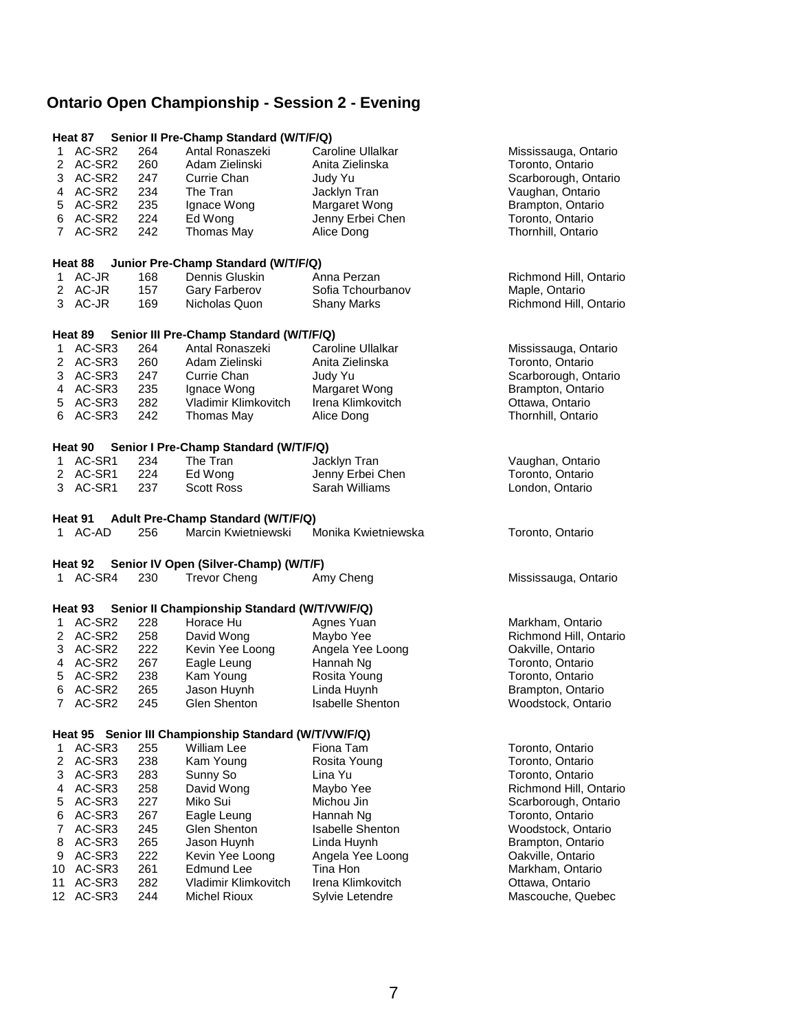## **Ontario Open Championship - Session 2 - Evening**

|                |                  |            | Heat 87 Senior II Pre-Champ Standard (W/T/F/Q)                       |                                        |                                         |
|----------------|------------------|------------|----------------------------------------------------------------------|----------------------------------------|-----------------------------------------|
| 1              | AC-SR2           | 264        | Antal Ronaszeki                                                      | Caroline Ullalkar                      | Mississauga, Ontario                    |
| 2              | AC-SR2           | 260        | Adam Zielinski                                                       | Anita Zielinska                        | Toronto, Ontario                        |
|                | 3 AC-SR2         | 247        | Currie Chan                                                          | Judy Yu                                | Scarborough, Ontario                    |
|                | 4 AC-SR2         | 234        | The Tran                                                             | Jacklyn Tran                           | Vaughan, Ontario                        |
|                | 5 AC-SR2         | 235        | Ignace Wong                                                          | Margaret Wong                          | Brampton, Ontario                       |
|                | 6 AC-SR2         | 224        | Ed Wong                                                              | Jenny Erbei Chen                       | Toronto, Ontario                        |
|                | 7 AC-SR2         | 242        | Thomas May                                                           | Alice Dong                             | Thornhill, Ontario                      |
|                |                  |            |                                                                      |                                        |                                         |
|                | Heat 88          |            | Junior Pre-Champ Standard (W/T/F/Q)                                  |                                        |                                         |
|                | 1 AC-JR          | 168        | Dennis Gluskin                                                       | Anna Perzan                            | Richmond Hill, Ontario                  |
|                | 2 AC-JR          | 157        | Gary Farberov                                                        | Sofia Tchourbanov                      | Maple, Ontario                          |
|                | 3 AC-JR          | 169        | Nicholas Quon                                                        | <b>Shany Marks</b>                     | Richmond Hill, Ontario                  |
|                |                  |            |                                                                      |                                        |                                         |
|                | Heat 89          |            | Senior III Pre-Champ Standard (W/T/F/Q)                              |                                        |                                         |
| 1              | AC-SR3           | 264        | Antal Ronaszeki                                                      | Caroline Ullalkar                      | Mississauga, Ontario                    |
|                | 2 AC-SR3         | 260        | Adam Zielinski                                                       | Anita Zielinska                        | Toronto, Ontario                        |
|                | 3 AC-SR3         | 247        | Currie Chan                                                          | Judy Yu                                | Scarborough, Ontario                    |
|                | 4 AC-SR3         | 235        | Ignace Wong                                                          | Margaret Wong                          | Brampton, Ontario                       |
|                | 5 AC-SR3         | 282        | Vladimir Klimkovitch                                                 | Irena Klimkovitch                      | Ottawa, Ontario                         |
| 6              | AC-SR3           | 242        | Thomas May                                                           | Alice Dong                             | Thornhill, Ontario                      |
|                |                  |            |                                                                      |                                        |                                         |
|                | Heat 90          |            | Senior I Pre-Champ Standard (W/T/F/Q)                                |                                        |                                         |
|                | 1 AC-SR1         | 234        | The Tran                                                             | Jacklyn Tran                           | Vaughan, Ontario                        |
|                | 2 AC-SR1         | 224        | Ed Wong                                                              | Jenny Erbei Chen                       | Toronto, Ontario                        |
| 3              | AC-SR1           | 237        | <b>Scott Ross</b>                                                    | Sarah Williams                         | London, Ontario                         |
|                |                  |            |                                                                      |                                        |                                         |
|                | Heat 91          |            | Adult Pre-Champ Standard (W/T/F/Q)                                   |                                        |                                         |
| 1.             | AC-AD            | 256        | Marcin Kwietniewski                                                  | Monika Kwietniewska                    | Toronto, Ontario                        |
|                |                  |            |                                                                      |                                        |                                         |
|                |                  |            |                                                                      |                                        |                                         |
|                |                  |            |                                                                      |                                        |                                         |
|                | 1 AC-SR4         | 230        | Heat 92 Senior IV Open (Silver-Champ) (W/T/F)<br><b>Trevor Cheng</b> | Amy Cheng                              | Mississauga, Ontario                    |
|                |                  |            |                                                                      |                                        |                                         |
|                | Heat 93          |            | Senior II Championship Standard (W/T/VW/F/Q)                         |                                        |                                         |
| 1.             | AC-SR2           | 228        | Horace Hu                                                            | Agnes Yuan                             | Markham, Ontario                        |
|                | 2 AC-SR2         | 258        |                                                                      | Maybo Yee                              | Richmond Hill, Ontario                  |
|                | 3 AC-SR2         | 222        | David Wong<br>Kevin Yee Loong                                        | Angela Yee Loong                       |                                         |
|                | 4 AC-SR2         | 267        |                                                                      |                                        | Oakville, Ontario                       |
|                | 5 AC-SR2         | 238        | Eagle Leung                                                          | Hannah Ng                              | Toronto, Ontario<br>Toronto, Ontario    |
| 6              |                  |            | Kam Young                                                            | Rosita Young                           |                                         |
| $\overline{7}$ | AC-SR2<br>AC-SR2 | 265<br>245 | Jason Huynh<br><b>Glen Shenton</b>                                   | Linda Huynh<br><b>Isabelle Shenton</b> | Brampton, Ontario<br>Woodstock, Ontario |
|                |                  |            |                                                                      |                                        |                                         |
|                |                  |            | Heat 95 Senior III Championship Standard (W/T/VW/F/Q)                |                                        |                                         |
| 1              | AC-SR3           | 255        | William Lee                                                          | Fiona Tam                              | Toronto, Ontario                        |
| 2              | AC-SR3           | 238        | Kam Young                                                            | Rosita Young                           | Toronto, Ontario                        |
| 3              | AC-SR3           | 283        | Sunny So                                                             | Lina Yu                                | Toronto, Ontario                        |
|                | 4 AC-SR3         | 258        | David Wong                                                           | Maybo Yee                              | Richmond Hill, Ontario                  |
| 5              | AC-SR3           | 227        | Miko Sui                                                             | Michou Jin                             | Scarborough, Ontario                    |
| 6              | AC-SR3           | 267        | Eagle Leung                                                          | Hannah Ng                              | Toronto, Ontario                        |
| 7              | AC-SR3           | 245        | Glen Shenton                                                         | <b>Isabelle Shenton</b>                | Woodstock, Ontario                      |
| 8              | AC-SR3           | 265        | Jason Huynh                                                          | Linda Huvnh                            | Brampton, Ontario                       |
| 9              | AC-SR3           | 222        | Kevin Yee Loong                                                      | Angela Yee Loong                       | Oakville, Ontario                       |
|                | 10 AC-SR3        | 261        | <b>Edmund Lee</b>                                                    | Tina Hon                               | Markham, Ontario                        |
| 11             | AC-SR3           | 282        | Vladimir Klimkovitch                                                 | Irena Klimkovitch                      | Ottawa, Ontario                         |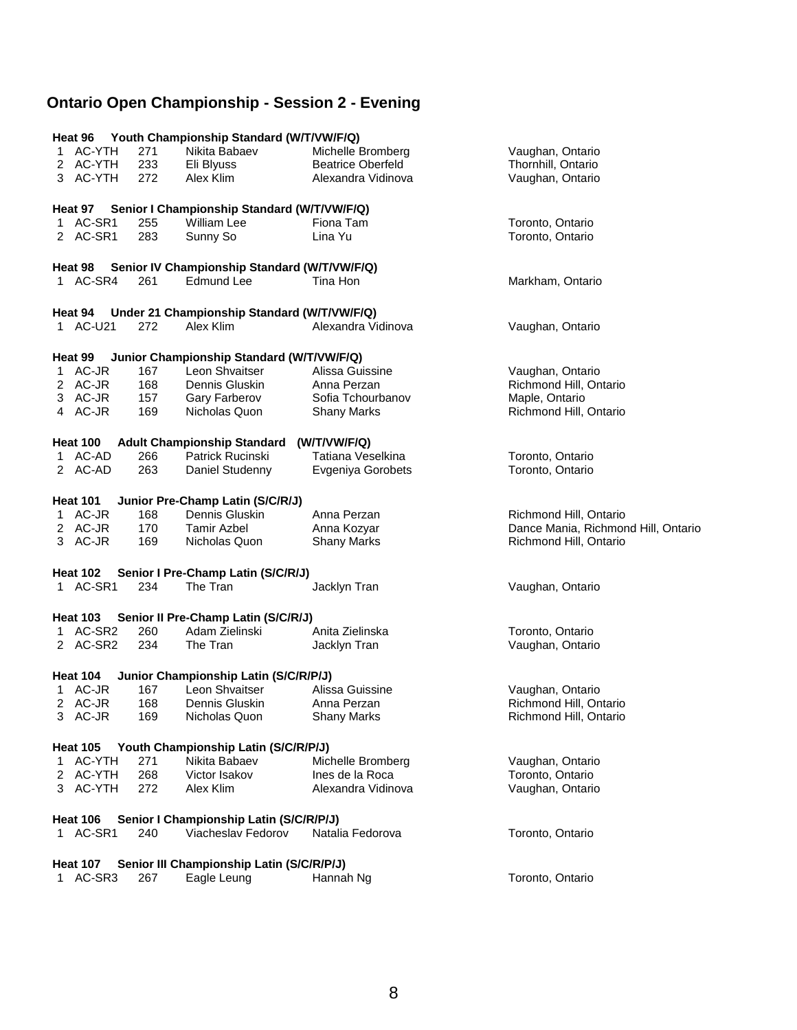## **Ontario Open Championship - Session 2 - Evening**

|    | Heat 96                     |     | Youth Championship Standard (W/T/VW/F/Q)                 |                          |                                     |
|----|-----------------------------|-----|----------------------------------------------------------|--------------------------|-------------------------------------|
|    | 1 AC-YTH                    | 271 | Nikita Babaev                                            | Michelle Bromberg        | Vaughan, Ontario                    |
|    | 2 AC-YTH                    | 233 | Eli Blyuss                                               | <b>Beatrice Oberfeld</b> | Thornhill, Ontario                  |
|    | 3 AC-YTH                    | 272 | Alex Klim                                                | Alexandra Vidinova       | Vaughan, Ontario                    |
|    |                             |     |                                                          |                          |                                     |
|    |                             |     | Heat 97 Senior I Championship Standard (W/T/VW/F/Q)      |                          |                                     |
|    | 1 AC-SR1                    | 255 | William Lee                                              | Fiona Tam                | Toronto, Ontario                    |
|    | 2 AC-SR1                    | 283 | Sunny So                                                 | Lina Yu                  | Toronto, Ontario                    |
|    |                             |     |                                                          |                          |                                     |
|    |                             |     | Heat 98 Senior IV Championship Standard (W/T/VW/F/Q)     |                          |                                     |
|    | 1 AC-SR4                    | 261 | Edmund Lee                                               | Tina Hon                 | Markham, Ontario                    |
|    | Heat 94                     |     | Under 21 Championship Standard (W/T/VW/F/Q)              |                          |                                     |
|    | 1 AC-U21                    | 272 | Alex Klim                                                | Alexandra Vidinova       | Vaughan, Ontario                    |
|    |                             |     |                                                          |                          |                                     |
|    | Heat 99                     |     | Junior Championship Standard (W/T/VW/F/Q)                |                          |                                     |
|    | 1 AC-JR                     | 167 | Leon Shvaitser                                           | Alissa Guissine          | Vaughan, Ontario                    |
|    | 2 AC-JR                     | 168 | Dennis Gluskin                                           | Anna Perzan              | Richmond Hill, Ontario              |
|    | 3 AC-JR                     | 157 | Gary Farberov                                            | Sofia Tchourbanov        | Maple, Ontario                      |
|    | 4 AC-JR                     | 169 | Nicholas Quon                                            | <b>Shany Marks</b>       | Richmond Hill, Ontario              |
|    |                             |     |                                                          |                          |                                     |
|    | <b>Heat 100</b>             |     | <b>Adult Championship Standard</b>                       | (W/T/VW/F/Q)             |                                     |
|    | 1 AC-AD                     | 266 | Patrick Rucinski                                         | Tatiana Veselkina        | Toronto, Ontario                    |
|    | 2 AC-AD                     | 263 | Daniel Studenny                                          | Evgeniya Gorobets        | Toronto, Ontario                    |
|    |                             |     |                                                          |                          |                                     |
|    | <b>Heat 101</b>             |     | Junior Pre-Champ Latin (S/C/R/J)                         |                          |                                     |
|    | 1 AC-JR                     | 168 | Dennis Gluskin                                           | Anna Perzan              | Richmond Hill, Ontario              |
|    | 2 AC-JR                     | 170 | <b>Tamir Azbel</b>                                       | Anna Kozyar              | Dance Mania, Richmond Hill, Ontario |
|    | 3 AC-JR                     | 169 | Nicholas Quon                                            | <b>Shany Marks</b>       | Richmond Hill, Ontario              |
|    |                             |     |                                                          |                          |                                     |
|    | <b>Heat 102</b>             |     | Senior I Pre-Champ Latin (S/C/R/J)                       |                          |                                     |
|    | 1 AC-SR1                    | 234 | The Tran                                                 | Jacklyn Tran             | Vaughan, Ontario                    |
|    |                             |     |                                                          |                          |                                     |
|    | <b>Heat 103</b>             |     | Senior II Pre-Champ Latin (S/C/R/J)                      |                          |                                     |
|    | 1 AC-SR2                    | 260 | Adam Zielinski                                           | Anita Zielinska          | Toronto, Ontario                    |
|    | 2 AC-SR2                    | 234 | The Tran                                                 | Jacklyn Tran             | Vaughan, Ontario                    |
|    | <b>Heat 104</b>             |     | Junior Championship Latin (S/C/R/P/J)                    |                          |                                     |
|    | 1 AC-JR                     | 167 | Leon Shvaitser                                           | Alissa Guissine          | Vaughan, Ontario                    |
|    | 2 AC-JR                     | 168 | Dennis Gluskin                                           | Anna Perzan              | Richmond Hill, Ontario              |
|    | 3 AC-JR                     | 169 | Nicholas Quon                                            | <b>Shany Marks</b>       | Richmond Hill, Ontario              |
|    |                             |     |                                                          |                          |                                     |
|    | <b>Heat 105</b>             |     | Youth Championship Latin (S/C/R/P/J)                     |                          |                                     |
| 1. | AC-YTH                      | 271 | Nikita Babaev                                            | Michelle Bromberg        | Vaughan, Ontario                    |
|    | 2 AC-YTH                    | 268 | Victor Isakov                                            | Ines de la Roca          | Toronto, Ontario                    |
|    | 3 AC-YTH                    | 272 | Alex Klim                                                | Alexandra Vidinova       | Vaughan, Ontario                    |
|    |                             |     |                                                          |                          |                                     |
|    | <b>Heat 106</b>             |     | Senior I Championship Latin (S/C/R/P/J)                  |                          |                                     |
|    | 1 AC-SR1                    | 240 | Viacheslav Fedorov                                       | Natalia Fedorova         | Toronto, Ontario                    |
|    |                             |     |                                                          |                          |                                     |
|    | <b>Heat 107</b><br>1 AC-SR3 | 267 | Senior III Championship Latin (S/C/R/P/J)<br>Eagle Leung | Hannah Ng                | Toronto, Ontario                    |
|    |                             |     |                                                          |                          |                                     |